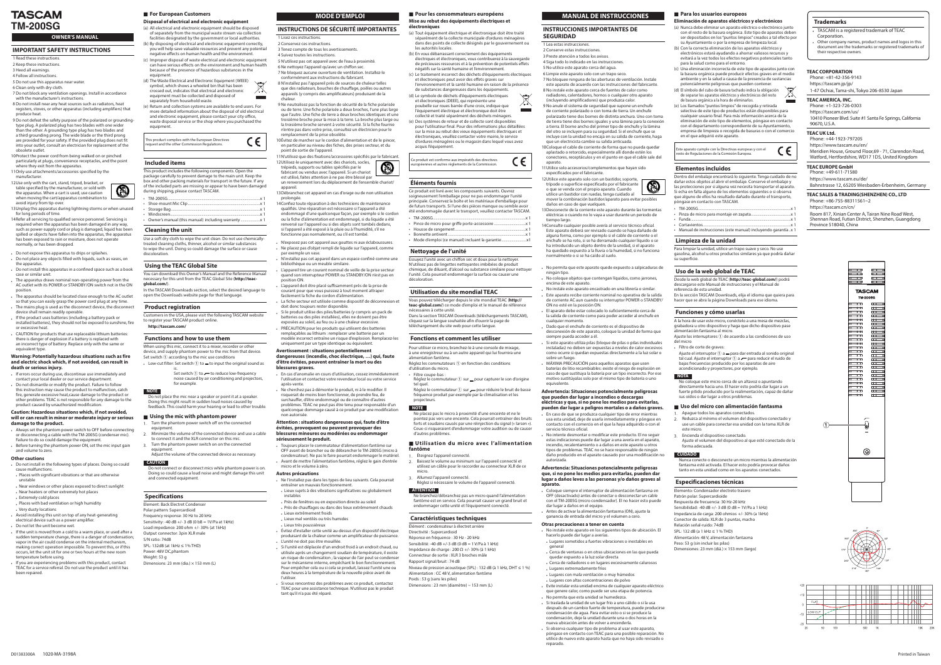# **TASCAM TM-200SG**

# **OWNER'S MANUAL**

# **IMPORTANT SAFETY INSTRUCTIONS**

- 1 Read these instructions
- 2 Keep these instructions
- 3 Heed all warnings 4 Follow all instructions
- 5 Do not use this apparatus near water.

6 Clean only with dry cloth

7 Do not block any ventilation openings. Install in accordance

with the manufacturer's instructions. 8 Do not install near any heat sources such as radiators, heat

- registers, stoves, or other apparatus (including amplifiers) that produce heat.
- 9 Do not defeat the safety purpose of the polarized or grounding-<br>type plug. A polarized plug has two blades with one wider than the other. A grounding type plug has two blades and a third grounding prong. The wide blade or the third prong are provided for your safety. If the provided plug does not fit into your outlet, consult an electrician for replacement of the obsolete outlet
- 10Protect the power cord from being walked on or pinched particularly at plugs, convenience receptacles, and the point
- where they exit from the apparatus. 11Only use attachments/accessories specified by the manufacturer
- 12Use only with the cart, stand, tripod, bracket, or table specified by the manufacturer, or sold with the apparatus. When a cart is used, use caution when moving the cart/apparatus combination to avoid injury from tip-over
- 13Unplug this apparatus during lightning storms or when unused for long periods of time.
- 14Refer all servicing to qualified service personnel. Servicing is required when the apparatus has been damaged in any way, such as power-supply cord or plug is damaged, liquid has been spilled or objects have fallen into the apparatus, the apparatus has been exposed to rain or moisture, does not operate normally, or has been dropped.
- Do not expose this apparatus to drips or splashes.
- bon ot place any objects filled with liquids, such as vases, on the apparatus.
- bo not install this apparatus in a confined space such as a book case or similar unit.
- the apparatus draws nominal non-operating power from the AC outlet with its POWER or STANDBY/ON switch not in the ON .position
- $\cdot$  The apparatus should be located close enough to the AC outlet so that you can easily grasp the power cord plug at any time. The mains plug is used as the disconnect device, the disconnect
- device shall remain readily operable If the product uses batteries (including a battery pack or
- installed batteries), they should not be exposed to sunshine, fire or excessive heat . CAUTION for products that use replaceable lithium batteries:
- there is danger of explosion if a battery is replaced with an incorrect type of battery. Replace only with the same or equivalent type

#### **Warning: Potentially hazardous situations such as fire** and electric shock which, if not avoided, can result in death or serious injury.

- a lf errors occur during use, discontinue use immediately and contact your local dealer or our service department.
- Do not dismantle or modify the product. Failure to follow this instruction may cause the product to malfunction, catch fire, generate excessive heat, cause damage to the product or other problems. TEAC is not responsible for any damage to the product caused by unauthorized modification

#### **Caution: Hazardous situations which, if not avoided.** will or can result in minor or moderate injury or serious damage to the product.

- aconnecting bet the phantom power switch to OFF before connecting or disconnecting a cable with the TM-200SG (condenser mic). Failure to do so could damage the equipment
- Before turning the phantom power ON, set the mic input gain and volume to zero.

### **Other** cautions

- bo not install in the following types of places. Doing so could .malfunctions cause
- . Places with significant vibrations or that are otherwise unstable
- . Near windows or other places exposed to direct sunlight
- Near heaters or other extremely hot places
- Extremely cold places
- Places with bad ventilation or high humidity
- Locations dusty locations

D01383300A 1020·MA-3198A

- Avoid installing this unit on top of any heat-generating electrical device such as a power amplifier. . Do not let the unit become wet.
- a If the unit is moved from a cold to a warm place, or used after a sudden temperature change, there is a danger of condensation; vapor in the air could condense on the internal mechanism, making correct operation impossible. To prevent this, or if this occurs, let the unit sit for one or two hours at the new room temperature before using.
- f you are experiencing problems with this product, contact TEAC for a service referral. Do not use the product until it has been repaired.

### **Example For European Customers**

# **Disposal of electrical and electronic equipment**

- (a) All electrical and electronic equipment should be disposed of separately from the municipal waste stream via collection facilities designated by the government or local authorities.
- $\phi$ ). By disposing of electrical and electronic equipment correctly. you will help save valuable resources and prevent any potential negative effects on human health and the environment.
- (c) Improper disposal of waste electrical and electronic equipment can have serious effects on the environment and human health because of the presence of hazardous substances in the .equipment
- (d) The Waste Flectrical and Flectronic Foujoment (WEFF) symbol, which shows a wheeled bin that has been crossed out, indicates that electrical and electronic equipment must be collected and disposed of
- separately from household waste. (e) Return and collection systems are available to end users. For more detailed information about the disposal of old electrical and electronic equipment, please contact your city office,

**Trademarks**

.Corporation

their respective owners.

**TEAC AMERICA, INC.** Phone: +1-323-726-0303 https://tascam.com/us/

Phone: +44-1923-797205 https://www.tascam.eu/en/

Phone:  $+86-755-88311561-2$ https://tascam.cn/cn/

Province 518040, China

**TEAC EUROPE GmbH** Phone: +49-611-71580 https://www.tascam.eu/de/

90670, U.S.A. **TEAC UK Ltd.** 

1-47 Ochiai, Tama-shi, Tokyo 206-8530 Japan

TASCAM is a registered trademark of TFAC

Other company names, product names and logos in this document are the trademarks or registered trademarks of

10410 Pioneer Blvd. Suite #1 Santa Fe Springs, California

Meridien House, Ground Floor, 69 - 71, Clarendon Road, Watford, Hertfordshire, WD17 1DS, United Kingdom

Bahnstrasse 12, 65205 Wiesbaden-Erbenheim, Germany

 $\begin{tabular}{|c|c|c|c|} \hline \quad \quad & \quad \quad & \quad \quad & \quad \quad \\ \hline \quad \quad & \quad \quad & \quad \quad & \quad \quad \\ \hline \quad \quad & \quad \quad & \quad \quad & \quad \quad \\ \hline \quad \quad & \quad \quad & \quad \quad & \quad \quad \\ \hline \quad \quad & \quad \quad & \quad \quad & \quad \quad \\ \hline \end{tabular}$ 

 $\overline{a}$ 

 $\frac{1}{2}$ 

1999 - 1999 - 1999 - 1999 - 1999 - 1999 - 1999 - 1999 - 1999 - 1999 - 1999 - 1999 - 1999 - 1999 - 1999 - 1999 <br>1999 - 1999 - 1999 - 1999 - 1999 - 1999 - 1999 - 1999 - 1999 - 1999 - 1999 - 1999 - 1999 - 1999 - 1999 - 1999

 $\overline{\phantom{a}}$ 

 $\cap$ 

 $\circledcirc$ 

**TASCAM TM-200SG** 

Printed in Taiwan

**TEAC SALES & TRADING(SHENZHEN) CO., LTD** 

 $\Box$  $\overline{a}$  $\overline{1}$  $\overline{\phantom{a}}$ 

 $\overline{1}$ 

 $\overline{1}$  $\overline{1}$  $\frac{1}{2}$  $\overline{1}$ 

 $\Box$  $\Box$ 

F  $\overline{a}$ F E in 1919.<br>Provincia de la capación de la capación de la capación de la capación de la capación de la capación de la capa<br>De la capación de la capación de la capación de la capación de la capación de la capación de la capaci  $\mathbf{u}$  and  $\mathbf{u}$ in 1919.<br>Tanzania

 $\overline{a}$  $\overline{\phantom{0}}$ 

Room 817, Xinian Center A, Tairan Nine Road West, Shennan Road, Futian District, Shenzhen, Guangdong

- (d) El símbolo del cubo de basura tachado indica la obligación de separar los aparatos eléctricos y electrónicos del resto de basura orgánica a la hora de eliminarlos
- (e) Los llamados "puntos limpios" de recogida y retirada selectiva de este tipo de productos están disponibles para cualquier usuario final. Para más información acerca de la eliminación de este tipo de elementos, póngase en contacto con el departamento correspondiente de su Avuntamiento. empresa de limpieza o recogida de basuras o con el comercio en el que adquirió este aparato.

Este aparato cumple con la Directivas europeas y con el CE sto de Regulaciones de la Comisión Europea.

waste disposal service or the shop where you purchased the .equipment

treated cleaning cloths, thinner, alcohol or similar substances Use a soft dry cloth to wipe the unit clean. Do not use chemically to wipe the unit. Doing so could damage the surface or cause .discoloration

# **Using the TEAC Global Site**

You can download this Owner's Manual and the Reference Manual necessary for this unit from the TEAC Global Site (**http://teac-**<br>**global.com**/).

In the TASCAM Downloads section, select the desired language to open the Downloads website page for that language.

# **Product registration**

Customers in the USA, please visit the following TASCAM website to register your TASCAM product online. http://tascam.com/

### **Functions and how to use them**

When using this mic, connect it to a mixer, recorder or other device, and supply phantom power to the mic from that device. Set switch  $\odot$  according to the mic use conditions

• Low-cut filter: Set switch  $\textcircled{1}$  to  $=$  to input the original sound as is.

Set switch  $\odot$  to  $\leftarrow$  to reduce low-frequency noise caused by air conditioning and projectors, for example.

**.graves blessures**

après-vente.

non autorisée

**.produit le sérieusement**

micro et le volume à zéro. **Autres précautions** 

. Lieux extrêmement froids . Lieux mal ventilés ou très humides

. L'unité ne doit pas être mouillée.

tant qu'il n'a pas été réparé.

• Lieux très poussiéreux

entraîner un mauvais fonctionnement

### **européens en Pour les consommateurs européens Mise au rebut des équipements électriques et**

**techniques Caractéristiques** Élément : condensateur à électret arrière

Sensibilité: -40 dB +/-3 dB (0 dB = 1 V/Pa à 1 kHz) Impédance de charge : 200 Ω +/- 30% (à 1 kHz) Connecteur de sortie : XLR 3 broches mâle

Alimentation : CC 48 V, alimentation fantôme

Dimensions : 23 mm (diamètre) ~ 153 mm (L)

Réponse en fréquence : 30 Hz - 20 kHz

et électroniques (DEEE), qui représente une

Le produit est conforme aux impératifs des directives .<br>copéennes et autres règlements de la Commission

• Pince de micro pour griffe porte-accessoire ..

l'unité. Cela pourrait endommager la surface ou causer une

**Utilisation du site mondial TEAC** 

téléchargement du site web pour cette langue.

**Fonctions et comment les utiliser** 

d'ordures ménagères ou le magasin dans lequel vous avez

# (a) Tout équipement électrique et électronique doit être traité séparément de la collecte municipale d'ordures ménagères

dans des points de collecte désignés par le gouvernement ou (b) En vous débarrassant correctement des équipements électriques et électroniques, vous contribuerez à la sauvegarde

de précieuses ressources et à la prévention de potentiels effets négatifs sur la santé humaine et l'environnement. (c) Le traitement incorrect des déchets d'équipements électriques

et électroniques peut avoir des effets graves sur l'environnement et la santé humaine en raison de la présence de substances dangereuses dans les équipements.

### **INSTRUCCIONES IMPORTANTES DE SEGURIDAD**

# 1 Lea estas instrucciones.

2 Conserve estas instrucciones 3 Preste atención a todos los avisos

4 Siga todo lo indicado en las instrucciones.

instables

l'utiliser.

- 5 No utilice este aparato cerca del aqua.
- 6 Limpie este aparato solo con un trapo seco. 7 No bloquee ninguna de las aberturas de ventilación. Instale
- este aparato de acuerdo con las instrucciones del fabricante. 8 No instale este aparato cerca de fuentes de calor como
- radiadores, calentadores, hornos o cualquier otro aparato (incluyendo amplificadores) que produzca calor.
- 9 No anule el sistema de seguridad que supone un enchufe de corriente polarizado o con toma de tierra. Un enchufe polarizado tiene dos bornes de distinta anchura. Uno con toma de tierra tiene dos bornes iguales y una lámina para la conexión a tierra. El borne ancho del primer tipo de enchufe y la lámina del otro se incluyen para su seguridad. Si el enchufe que se
- incluye con la unidad no encaja en su salida de corriente, haga que un electricista cambie su salida anticuada. 10 Coloque el cable de corriente de forma que no pueda quedar aplastado o retorcido, especialmente allí donde estén los conectores, receptáculos y en el punto en que el cable sale del
- .aparato 11 Utilice solo accesorios/complementos que hayan sido especificados por el fabricante.
- 12Utilice este aparato solo con un bastidor, soporte, trípode o superficie especificado por el fabricante o que se venda con el propio aparato. Cuando utilice un bastidor con ruedas, tenga cuidado al
- A mover la combinación bastidor/aparato para evitar posibles daños en caso de que vuelquen 13 Desconecte de la corriente este aparato durante las tormentas
- eléctricas o cuando no lo vaya a usar durante un periodo de tiempo largo.
- 14 Consulte cualquier posible avería al servicio técnico oficial. Este aparato deberá ser revisado cuando se haya dañado de alguna forma, como por ejemplo si el cable de corriente o el enchufe se ha roto, si se ha derramado cualquier líquido o se ha introducido un objeto dentro de la unidad, si el aparato ha quedado expuesto a la lluvia o la humedad, si no funciona normalmente o si se ha caído al suelo
- No permita que este aparato quede expuesto a salpicaduras de ningún tipo
- No coloque objetos que contengan líquidos, como jarrones, encima de este aparato
- No instale este aparato encastrado en una librería o similar. salida la Este aparato recibe corriente nominal no operativa de la salida de corriente AC aun cuando su interruptor POWER o STANDBY/ ON no esté en la posición ON.
- El aparato debe estar colocado lo suficientemente cerca de la salida de corriente como para poder acceder al enchufe en cualquier momento
- . Dado que el enchufe de corriente es el dispositivo de desconexión de este aparato, coloque la unidad de forma que siempre pueda acceder a él.
- Si este aparato utiliza pilas (bloque de pilas o pilas individuales instaladas) no deben ser expuestas a niveles de calor excesivos como ocurre si quedan expuestas directamente a la luz solar o sobre un fuego
- MÁXIMA PRECAUCIÓN para aquellos aparatos que usen baterías de litio recambiables: existe el riesgo de explosión en caso de que sustituya la batería por un tipo incorrecto. Por ese motivo sustitúyalas solo por el mismo tipo de batería o uno .equivalente

#### **Advertencia: Situaciones potencialmente peligrosas** que pueden dar lugar a incendios o descargas eléctricas y que, si no pone los medios para evitarlas,

- pueden dar lugar a peligros mortales o a daños graves. . En caso de que se produzca cualquier tipo de error mientras usa esta unidad, deje de usarla inmediatamente y póngase en contacto con el comercio en el que la haya adquirido o con el servicio técnico oficial.
- No intente desmontar o modificar este producto. El no seguir estas indicaciones puede dar lugar a una avería en el aparato, incendio, recalentamiento o a daños en este aparato u otros tipos de problemas. TEAC no se hace responsable de ningún daño producido en el aparato causado por una modificación no .autorizada

#### **Advertencia: Situaciones potencialmente peligrosas** que, si no pone los medios para evitarlas, pueden dar lugar a daños leves a las personas y/o daños graves al **.aparato**

- . Coloque siempre el interruptor de alimentación fantasma en OFF (desactivado) antes de conectar o desconectar un cable con el TM-200SG (micro condensador). El no hacer esto puede dar lugar a daños en el equipo. Antes de activar la alimentación fantasma (ON), ajuste la
- ganancia de entrada del micro y el volumen a cero.

# **Otras precauciones a tener en cuenta**



### **included** items

O

This product includes the following components. Open the package carefully to prevent damage to the main unit. Keep the hox and other packing materials for transport in the future. If any of the included parts are missing or appear to have been damaged during shipping, please contact TASCAM.

- $TM-200SG$ Shoe-mount Mic Clip. Storage Bag ...
- Windscreen 1 Y. Owner's manual (this manual) including warranty manual state owner's

### **Cleaning the unit**

- Bloinstale este aparato en los siguientes tipos de ubicación. El hacerlo puede dar lugar a averías.
- Lugares sometidos a fuertes vibraciones o inestables en general
- Cerca de ventanas o en otras ubicaciones en las que pueda quedar expuesto a la luz solar directa Cerca de radiadores o en lugares excesivamente calurosos
- Lugares extremadamente fríos
- Lugares con mala ventilación o muy húmedos
- Lugares con altas concentraciones de polvo
- eléctrico aparato eléctrico aparato eléctrico aparato eléctrico que genere calor, como puede ser una etapa de potencia.
- . No permita que esta unidad se humedezca. visa la si traslada la unidad de un lugar frío a uno cálido o si la usa después de un cambio fuerte de temperatura, puede producirse condensación de agua. Para evitar esto o si se produce la condensación, deje la unidad durante una o dos horas en la nueva ubicación antes de volver a encenderla
- Si observa cualquier tipo de problema al usar este aparato, póngase en contacto con TEAC para una posible reparación. No utilice de nuevo este aparato hasta que no haya sido revisado o .reparado

# **example 3** Para los usuarios europeos

# **Eliminación de aparatos eléctricos y electrónicos**

- (a) Nunca debe eliminar un aparato eléctrico o electrónico junto con el resto de la basura orgánica. Este tipo de aparatos deben ser denositados en los "puntos limpios" creados a tal efecto por su Ayuntamiento o por la empresa de limpieza local.
- (b) Con la correcta eliminación de los aparatos eléctricos y electrónicos estará ayudando a ahorrar valiosos recursos y evitará a la vez todos los efectos negativos potenciales tanto para la salud como para el entorno.
- $(c)$  Una eliminación incorrecta de este tipo de aparatos junto con la basura orgánica puede producir efectos graves en el medio ambiente y en la salud a causa de la presencia de sustancias potencialmente peligrosas que pueden contener

**TEAC CORPORATION** Phone: +81-42-356-9143 https://tascam.jp/jp/

### **NOTE**

Do not place the mic near a speaker or point it at a speaker. Doing this might result in sudden loud noises caused by feedback. This could harm your hearing or lead to other trouble.

### **p** Using the mic with phantom power

- Turn the phantom power switch off on the connected .equipment Minimize the volume of the connected device and use a cable
- to connect it and the XLR connector on this mic. Turn the phantom power switch on on the connected
- .equipment Adjust the volume of the connected device as necessary.

### **CAUTION**

Do not connect or disconnect mics while phantom power is on Doing so could cause a loud noise and might damage this unit and connected equipment

# **Specifications**

Element: Back Electret Condenser

Polar pattern: Supercardioid Frequency response: 30 Hz to 20 kHz Sensitivity: -40 dB +/- 3 dB (0 bB = 1V/Pa at 1kHz)

Load impedance:  $200$  ohm  $+/- 30%$  (at  $1kHz$ ) Output connector: 3pin XLR male

S/N ratio: 74dB  $SPL: 132dB$  (at  $1kHz \leq 1\%THD$ )

Power: 48V DC, phantom Weight: 53 g

Dimensions: 23 mm (dia.)  $\times$  153 mm (L)

# **MODE D'EMPLOI**

### **INSTRUCTIONS DE SÉCURITÉ IMPORTANTES** 1 Lisez ces instructions.

- 2 Conservez ces instructions
- 3 Tenez compte de tous les avertissements. 4 Suivez toutes les instructions.
- 5 N'utilisez pas cet appareil avec de l'eau à proximité.
- 6 Ne nettoyez l'appareil qu'avec un chiffon sec. 7 Ne bloquez aucune ouverture de ventilation. Installez-le
- conformément aux instructions du fabricant. 8 N'installez pas l'appareil près de sources de chaleur telles
- que des radiateurs, bouches de chauffage, poêles ou autres appareils (y compris des amplificateurs) produisant de la .chaleur
- 9 Ne neutralisez pas la fonction de sécurité de la fiche polarisée ou de terre. Une fiche polarisée a deux broches. L'une plus large que l'autre. Une fiche de terre a deux broches identiques et une troisième broche pour la mise à la terre. La broche plus large ou la troisième broche servent à votre sécurité. Si la fiche fournie n'entre pas dans votre prise, consultez un électricien pour le
- remplacement de la prise obsolète 10 Évitez de marcher sur le cordon d'alimentation et de le pincer, en particulier au niveau des fiches, des prises secteur, et du
- point de sortie de l'appareil 11N'utilisez que des fixations/accessoires spécifiés par le fabricant
- 12Utilisez-le uniquement avec des chariots, socles, A le par supports ou tables spécifiés par le fabricant ou vendus avec l'appareil. Si un chariot est utilisé, faites attention à ne pas être blessé par
- un renversement lors du déplacement de l'ensemble chariot/ .appareil 13 Débranchez cet appareil en cas d'orage ou de non utilisation
- .prolongée 14 Confiez toute réparation à des techniciens de maintenance
- qualifiés. Une réparation est nécessaire si l'appareil a été endommagé d'une quelconque façon, par exemple si le cordor ou la fiche d'alimentation est endommagé, si du liquide a été enversé sur l'appareil ou si des objets sont tombés dedans, si l'appareil a été exposé à la pluie ou à l'humidité, s'il ne fonctionne pas normalement, ou s'il est tombé
- N'exposez pas cet appareil aux gouttes ni aux éclaboussures
- . Ne placez pas d'objet rempli de liquide sur l'appareil, comme par exemple un vase
- N'installez pas cet appareil dans un espace confiné comme une bibliothèque ou un meuble similaire
- L'appareil tire un courant nominal de veille de la prise secteur quand son interrupteur POWER ou STANDBY/ON n'est pas en position ON.

La fiche secteur est utilisée comme dispositif de déconnexion et

Si le produit utilise des piles/batteries (y compris un pack de batteries ou des piles installées), elles ne doivent pas être exposées au soleil, au feu ou à une chaleur excessive. PRÉCAUTION pour les produits qui utilisent des batteries remplaçables au lithium : remplacer une batterie par un modèle incorrect entraîne un risque d'explosion. Remplacez-les

dangereuses (incendie, choc électrique, ...) qui, faute **d'être évitées, peuvent entraîner la mort ou des** 

immédiatement cours d'utilisation, cessez immédiatement l'utilisation et contactez votre revendeur local ou votre service

. Ne cherchez pas à démonter le produit, ni à le modifier. Il risquerait de moins bien fonctionner, de prendre feu, de surchauffer, d'être endommagé ou de connaître d'autres problèmes. TEAC ne peut pas être tenu pour responsable d'un quelconque dommage causé à ce produit par une modification

**Attention : situations dangereuses qui, faute d'être** évitées, provoquent ou peuvent provoquer des **blessures mineures ou modérées ou endommager** 

• Toujours placer le commutateur d'alimentation fantôme sur OFF avant de brancher ou de débrancher le TM-200SG (micro à condensateur). Ne pas le faire pourrait endommager le matériel. belevient de mettre l'alimentation fantôme, réglez le gain d'entrée

. Ne l'installez pas dans les types de lieu suivants. Cela pourrait

. Lieux sujets à des vibrations significatives ou globalement

• Évitez d'installer cette unité au-dessus d'un dispositif électrique produisant de la chaleur comme un amplificateur de puissance.

. Si l'unité est déplacée d'un endroit froid à un endroit chaud, ou utilisée après un changement soudain de température, il existe un risque de condensation ; la vapeur de l'air peut se condenser sur le mécanisme interne, empêchant le bon fonctionnement. Pour empêcher cela ou si cela se produit, laissez l'unité une ou deux heures à la température de la nouvelle pièce avant de

. Si vous rencontrez des problèmes avec ce produit, contactez TEAC pour une assistance technique. N'utilisez pas le produit

 $\bullet$  Près de fenêtres ou en exposition directe au soleil Près de chauffages ou dans des lieux extrêmement chauds

uniquement par un type identique ou équivalent.  $A$ vertissement : situations potentiellement

L'appareil doit être placé suffisamment près de la prise de courant pour que vous puissiez à tout moment attraper facilement la fiche du cordon d'alimentation

doit donc toujours rester disponible.

**électroniques**

les autorités locales.

acquis l'équipement.

**Éléments fournis** 

• Housse de rangement • Bonnette antivent ...

**Nettoyage de l'unité** 

• TM-200SG.



l'équipement électrique et électronique doit être collecté et traité séparément des déchets ménagers (e) Des systèmes de retour et de collecte sont disponibles pour l'utilisateur final. Pour des informations plus détaillées sur la mise au rebut des vieux équipements électriques et électroniques, veuillez contacter votre mairie, le service



Ce produit est livré avec les composants suivants. Ouvrez soigneusement l'emballage pour ne pas endommager l'unité principale. Conservez la boîte et les matériaux d'emballage pour de futurs transports. Si l'une des pièces manque ou semble avoir

été endommagée durant le transport, veuillez contacter TASCAM. • Mode d'emploi (ce manuel) incluant la garantie ..

Essuyez l'unité avec un chiffon sec et doux pour la nettoyer. V'utilisez pas de lingettes nettoyantes imbibées de produit chimique, de diluant, d'alcool ou substance similaire pour nettoyer

Vous pouvez télécharger depuis le site mondial TEAC (http://

**teac-global.com**/) ce mode d'emploi et le manuel de référence Dans la section TASCAM Downloads (téléchargements TASCAM), cliquez sur la langue souhaitée afin d'ouvrir la page de

Pour utiliser ce micro, branchez-le à une console de mixage, à une enregistreur ou à un autre appareil qui lui fournira une

Réglez les commutateurs  $\overline{1}$  en fonction des conditions

Réglez le commutateur  $\textcircled{1}$  sur pour capturer le son d'origine

Réglez le commutateur  $\textcircled{1}$  sur  $\rightarrow$  pour réduire le bruit de basse fréquence produit par exemple par la climatisation et les

Ne placez pas le micro à proximité d'une enceinte et ne le pointez pas vers une enceinte. Cela pourrait entraîner des bruits forts et soudains causés par une réinjection du signal (« larsen »). Ceux-ci risqueraient d'endommager votre audition ou de causer

 $\blacksquare$  Utilisation du micro avec l'alimentation

2 Baissez le volume au minimum sur l'appareil connecté et utilisez un câble pour le raccorder au connecteur XLR de ce

Réglez si nécessaire le volume de l'appareil connecté

Ne branchez/débranchez pas un micro quand l'alimentation fantôme est en service. Cela pourrait causer un grand bruit et endommager cette unité et l'équipement connecté.

Niveau de pression acoustique (SPL) : 132 dB (à 1 kHz, DHT  $\leq$  1 %)

**MANUAL DE INSTRUCCIONES** 

.décoloration

nécessaires à cette unité.

alimentation fantôme

d'utilisation du micro. • Filtre coupe-bas

tel quel.

.projecteurs **NOTE**

**fantôme**

micro

**ATTENTION**

d'autres problèmes.

. Éteignez l'appareil connecté.

3. Allumez l'appareil connecté.

Directivité : Supercardioid

Rapport signal/bruit: 74 dB

Poids : 53 g (sans les piles)

# **incluidos Elementos**

Dentro del embalaje encontrará lo siguiente. Tenga cuidado de no dañar estos objetos al abrir el embalaje. Conserve el embalaje y las protecciones por si alguna vez necesita transportar el aparato Si echa en falta alguno de los elementos siguientes o si observa que alguno de ellos ha resultado dañado durante el transporte, póngase en contacto con TASCAM.

- $\cdot$  TM-200SG
- Pinza de micro para montaje en zapata... 1 x............................................................................................................Funda•
- Cortavientos..
- Manual de instrucciones (este manual) incluyendo garantía..x 1

# Limpieza de la unidad

Para limpiar la unidad, utilice un trapo suave y seco. No use gasolina, alcohol u otros productos similares ya que podría dañar su superficie.

# **Uso de la web global de TEAC**

Desde la web global de TEAC (http://teac-global.com/) podrá descargarse este Manual de instrucciones y el Manual de referencia de esta unidad.

En la sección TASCAM Downloads, elija el idioma que quiera para hacer que se abra la página Downloads para ese idioma.

# **Funciones y cómo usarlas**

A la hora de usar este micro, conéctelo a una mesa de mezclas, grabadora u otro dispositivo y haga que dicho dispositivo pase alimentación fantasma al micro.

Ajuste los interruptores  $\overline{1}$  de acuerdo a las condiciones de uso del micro Filtro de corte de graves:

Ajuste el interruptor  $\textcircled{1}$  a  $\textup{=}$  para dar entrada al sonido original tal cual. Ajuste el interruptor  $\textcircled{1}$  a  $\textup{1}$  para reducir el ruido de bajas frecuencias producido por los aparatos de aire acondicionado y proyectores, por ejemplo.

# **NOTA**

No coloque este micro cerca de un altavoz o apuntando directamente hacia uno. El hacer esto podría dar lugar a un fuerte pitido producido por la realimentación, capaz de dañar sus oídos o dar lugar a otros problemas.

# $\blacksquare$  Uso del micro con alimentación fantasma

- Apague todos los aparatos conectados. Reduzca al mínimo el volumen del dispositivo conectado y use un cable para conectar esa unidad con la toma XLR de este micro.
- Encienda el dispositivo conectado. Ajuste el volumen del dispositivo al que esté conectado de la forma adecuada.

# **CUIDADO**

Nunca conecte o desconecte un micro mientras la alimentación fantasma esté activada. El hacer esto podría provocar daños tanto en esta unidad como en los aparatos conectados.

# **Especificaciones técnicas**

Elemento: Condensador electreto trasero

- Patrón polar: Supercardioïde
- espuesta de frecuencia: 30 Hz-20 kHz
- Sensibilidad: -40 dB +/- 3 dB (0 dB = 1V/Pa a 1 kHz)
- Impedancia de carga: 200 ohmios +/- 30% (a 1kHz) Conector de salida: XLR de 3 puntas, macho

Alimentación: 48 V, alimentación fantasma

Dimensiones: 23 mm (diá.)  $\times$  153 mm (largo)

- Relación señal-ruido: 74dB
- $SPL: 132 dB (a 1 kHz < 1 % THD)$

Peso: 53 g (sin incluir las pilas)